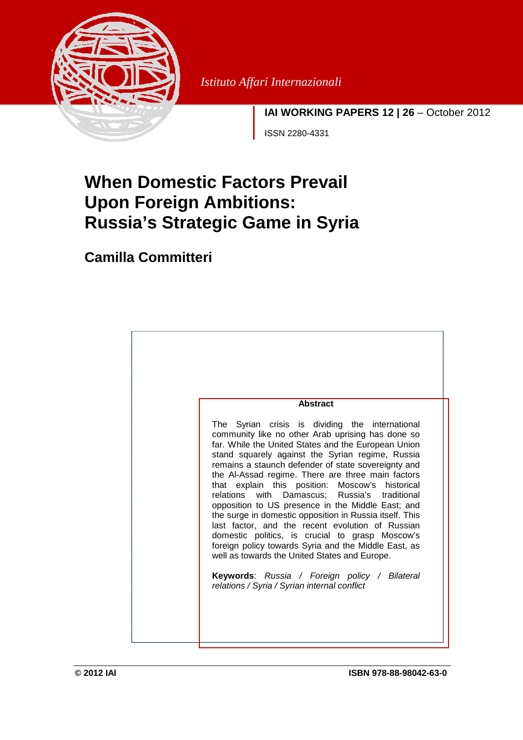

*Istituto Affari Internazionali* 

**IAI WORKING PAPERS 12 | 26** – October 2012

ISSN 2280-4331

# **When Domestic Factors Prevail Upon Foreign Ambitions: Russia's Strategic Game in Syria**

## **Camilla Committeri**

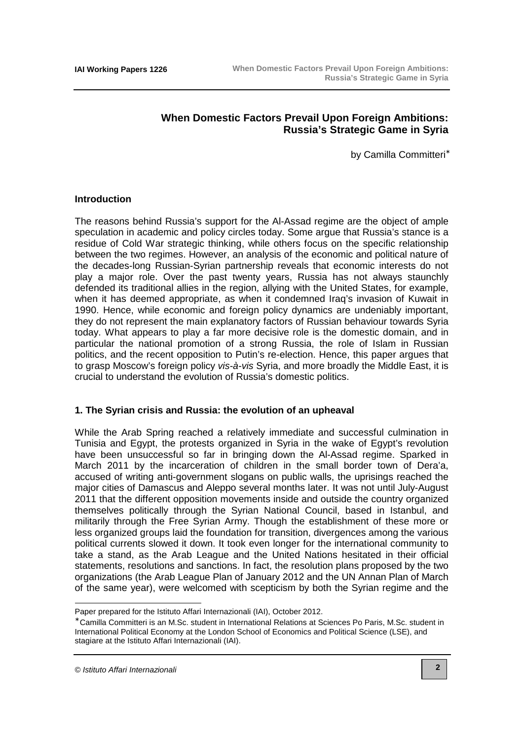### **When Domestic Factors Prevail Upon Foreign Ambitions: Russia's Strategic Game in Syria**

by Camilla Committeri<sup>∗</sup>

#### **Introduction**

The reasons behind Russia's support for the Al-Assad regime are the object of ample speculation in academic and policy circles today. Some argue that Russia's stance is a residue of Cold War strategic thinking, while others focus on the specific relationship between the two regimes. However, an analysis of the economic and political nature of the decades-long Russian-Syrian partnership reveals that economic interests do not play a major role. Over the past twenty years, Russia has not always staunchly defended its traditional allies in the region, allying with the United States, for example, when it has deemed appropriate, as when it condemned Iraq's invasion of Kuwait in 1990. Hence, while economic and foreign policy dynamics are undeniably important, they do not represent the main explanatory factors of Russian behaviour towards Syria today. What appears to play a far more decisive role is the domestic domain, and in particular the national promotion of a strong Russia, the role of Islam in Russian politics, and the recent opposition to Putin's re-election. Hence, this paper argues that to grasp Moscow's foreign policy vis-à-vis Syria, and more broadly the Middle East, it is crucial to understand the evolution of Russia's domestic politics.

#### **1. The Syrian crisis and Russia: the evolution of an upheaval**

While the Arab Spring reached a relatively immediate and successful culmination in Tunisia and Egypt, the protests organized in Syria in the wake of Egypt's revolution have been unsuccessful so far in bringing down the Al-Assad regime. Sparked in March 2011 by the incarceration of children in the small border town of Dera'a, accused of writing anti-government slogans on public walls, the uprisings reached the major cities of Damascus and Aleppo several months later. It was not until July-August 2011 that the different opposition movements inside and outside the country organized themselves politically through the Syrian National Council, based in Istanbul, and militarily through the Free Syrian Army. Though the establishment of these more or less organized groups laid the foundation for transition, divergences among the various political currents slowed it down. It took even longer for the international community to take a stand, as the Arab League and the United Nations hesitated in their official statements, resolutions and sanctions. In fact, the resolution plans proposed by the two organizations (the Arab League Plan of January 2012 and the UN Annan Plan of March of the same year), were welcomed with scepticism by both the Syrian regime and the

 $\overline{a}$ 

Paper prepared for the Istituto Affari Internazionali (IAI), October 2012.

<sup>∗</sup> Camilla Committeri is an M.Sc. student in International Relations at Sciences Po Paris, M.Sc. student in International Political Economy at the London School of Economics and Political Science (LSE), and stagiare at the Istituto Affari Internazionali (IAI).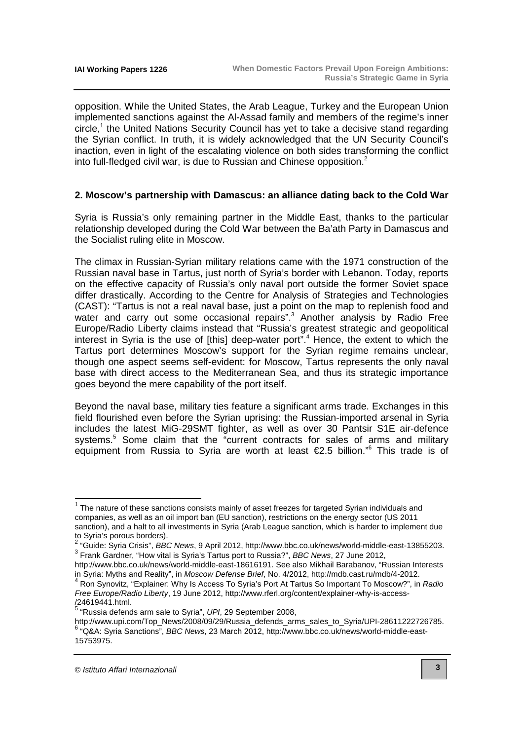opposition. While the United States, the Arab League, Turkey and the European Union implemented sanctions against the Al-Assad family and members of the regime's inner circle,<sup>1</sup> the United Nations Security Council has yet to take a decisive stand regarding the Syrian conflict. In truth, it is widely acknowledged that the UN Security Council's inaction, even in light of the escalating violence on both sides transforming the conflict into full-fledged civil war, is due to Russian and Chinese opposition.<sup>2</sup>

#### **2. Moscow's partnership with Damascus: an alliance dating back to the Cold War**

Syria is Russia's only remaining partner in the Middle East, thanks to the particular relationship developed during the Cold War between the Ba'ath Party in Damascus and the Socialist ruling elite in Moscow.

The climax in Russian-Syrian military relations came with the 1971 construction of the Russian naval base in Tartus, just north of Syria's border with Lebanon. Today, reports on the effective capacity of Russia's only naval port outside the former Soviet space differ drastically. According to the Centre for Analysis of Strategies and Technologies (CAST): "Tartus is not a real naval base, just a point on the map to replenish food and water and carry out some occasional repairs".<sup>3</sup> Another analysis by Radio Free Europe/Radio Liberty claims instead that "Russia's greatest strategic and geopolitical interest in Syria is the use of [this] deep-water port".<sup>4</sup> Hence, the extent to which the Tartus port determines Moscow's support for the Syrian regime remains unclear, though one aspect seems self-evident: for Moscow, Tartus represents the only naval base with direct access to the Mediterranean Sea, and thus its strategic importance goes beyond the mere capability of the port itself.

Beyond the naval base, military ties feature a significant arms trade. Exchanges in this field flourished even before the Syrian uprising: the Russian-imported arsenal in Syria includes the latest MiG-29SMT fighter, as well as over 30 Pantsir S1E air-defence systems.<sup>5</sup> Some claim that the "current contracts for sales of arms and military equipment from Russia to Syria are worth at least €2.5 billion."<sup>6</sup> This trade is of

 $\overline{\phantom{a}}$ 

 $1$  The nature of these sanctions consists mainly of asset freezes for targeted Syrian individuals and companies, as well as an oil import ban (EU sanction), restrictions on the energy sector (US 2011 sanction), and a halt to all investments in Syria (Arab League sanction, which is harder to implement due to Syria's porous borders).

<sup>&</sup>lt;sup>2</sup> "Guide: Syria Crisis", BBC News, 9 April 2012, http://www.bbc.co.uk/news/world-middle-east-13855203. <sup>3</sup> Frank Gardner, "How vital is Syria's Tartus port to Russia?", BBC News, 27 June 2012,

[http://www.bbc.co.uk/news/world-middle-east-18616191.](http://www.bbc.co.uk/news/world-middle-east-18616191) See also Mikhail Barabanov, "Russian Interests in Syria: Myths and Reality", in Moscow Defense Brief, No. 4/2012, [http://mdb.cast.ru/mdb/4-2012.](http://mdb.cast.ru/mdb/4-2012) 

<sup>4</sup> Ron Synovitz, "Explainer: Why Is Access To Syria's Port At Tartus So Important To Moscow?", in Radio Free Europe/Radio Liberty[, 19 June 2012, http://www.rferl.org/content/explainer-why-is-access-](http://www.rferl.org/content/explainer-why-is-access-/24619441.html)

<sup>/24619441.</sup>html.<br><sup>5</sup> "Russia defends arm sale to Syria", *UPI*, 29 September 2008,

[http://www.upi.com/Top\\_News/2008/09/29/Russia\\_defends\\_arms\\_sales\\_to\\_Syria/UPI-28611222726785.](http://www.upi.com/Top_News/2008/09/29/Russia_defends_arms_sales_to_Syria/UPI-28611222726785) 6 "Q&A: Syria Sanctions", BBC News[, 23 March 2012, http://www.bbc.co.uk/news/world-middle-east-](http://www.bbc.co.uk/news/world-middle-east-15753975)15753975.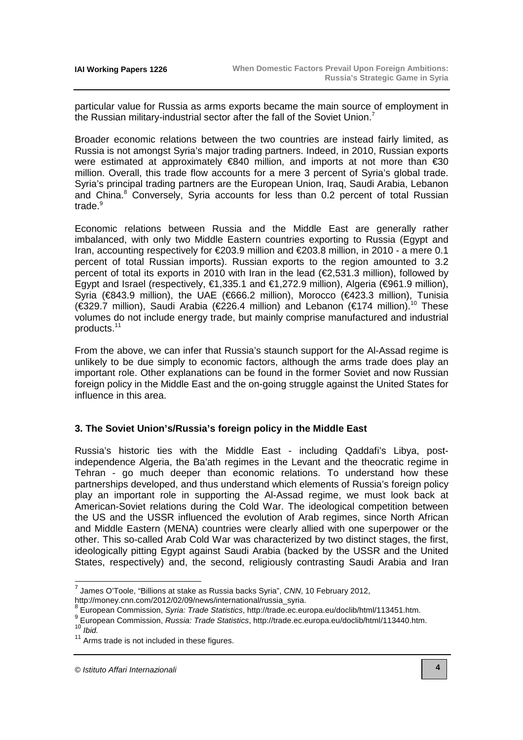particular value for Russia as arms exports became the main source of employment in the Russian military-industrial sector after the fall of the Soviet Union.<sup>7</sup>

Broader economic relations between the two countries are instead fairly limited, as Russia is not amongst Syria's major trading partners. Indeed, in 2010, Russian exports were estimated at approximately €840 million, and imports at not more than €30 million. Overall, this trade flow accounts for a mere 3 percent of Syria's global trade. Syria's principal trading partners are the European Union, Iraq, Saudi Arabia, Lebanon and China.<sup>8</sup> Conversely, Syria accounts for less than 0.2 percent of total Russian trade.<sup>9</sup>

Economic relations between Russia and the Middle East are generally rather imbalanced, with only two Middle Eastern countries exporting to Russia (Egypt and Iran, accounting respectively for €203.9 million and €203.8 million, in 2010 - a mere 0.1 percent of total Russian imports). Russian exports to the region amounted to 3.2 percent of total its exports in 2010 with Iran in the lead (€2,531.3 million), followed by Egypt and Israel (respectively,  $\epsilon$ 1,335.1 and  $\epsilon$ 1,2729 million), Algeria ( $\epsilon$ 961.9 million), Syria (€843.9 million), the UAE (€666.2 million), Morocco (€423.3 million), Tunisia (€329.7 million), Saudi Arabia (€226.4 million) and Lebanon (€174 million).<sup>10</sup> These volumes do not include energy trade, but mainly comprise manufactured and industrial products.<sup>11</sup>

From the above, we can infer that Russia's staunch support for the Al-Assad regime is unlikely to be due simply to economic factors, although the arms trade does play an important role. Other explanations can be found in the former Soviet and now Russian foreign policy in the Middle East and the on-going struggle against the United States for influence in this area.

#### **3. The Soviet Union's/Russia's foreign policy in the Middle East**

Russia's historic ties with the Middle East - including Qaddafi's Libya, postindependence Algeria, the Ba'ath regimes in the Levant and the theocratic regime in Tehran - go much deeper than economic relations. To understand how these partnerships developed, and thus understand which elements of Russia's foreign policy play an important role in supporting the Al-Assad regime, we must look back at American-Soviet relations during the Cold War. The ideological competition between the US and the USSR influenced the evolution of Arab regimes, since North African and Middle Eastern (MENA) countries were clearly allied with one superpower or the other. This so-called Arab Cold War was characterized by two distinct stages, the first, ideologically pitting Egypt against Saudi Arabia (backed by the USSR and the United States, respectively) and, the second, religiously contrasting Saudi Arabia and Iran

 $^7$  James O'Toole, "Billions at stake as Russia backs Syria", CNN, 10 February 2012, [http://money.cnn.com/2012/02/09/news/international/russia\\_syria.](http://money.cnn.com/2012/02/09/news/international/russia_syria)

<sup>&</sup>lt;sup>8</sup> European Commission, Syria: Trade Statistics, [http://trade.ec.europa.eu/doclib/html/113451.htm.](http://trade.ec.europa.eu/doclib/html/113451.htm)

<sup>&</sup>lt;sup>9</sup> European Commission, *Russia: Trade Statistics*, [http://trade.ec.europa.eu/doclib/html/113440.htm.](http://trade.ec.europa.eu/doclib/html/113440.htm)

 $10$  Ibid.

 $11$  Arms trade is not included in these figures.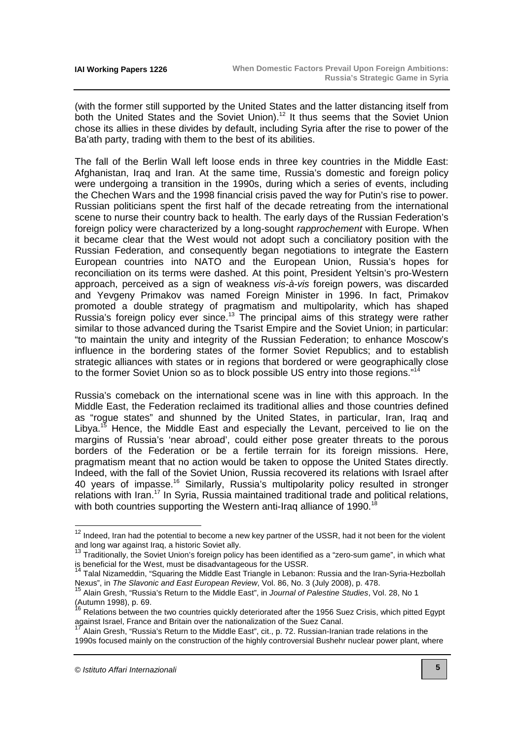(with the former still supported by the United States and the latter distancing itself from both the United States and the Soviet Union).<sup>12</sup> It thus seems that the Soviet Union chose its allies in these divides by default, including Syria after the rise to power of the Ba'ath party, trading with them to the best of its abilities.

The fall of the Berlin Wall left loose ends in three key countries in the Middle East: Afghanistan, Iraq and Iran. At the same time, Russia's domestic and foreign policy were undergoing a transition in the 1990s, during which a series of events, including the Chechen Wars and the 1998 financial crisis paved the way for Putin's rise to power. Russian politicians spent the first half of the decade retreating from the international scene to nurse their country back to health. The early days of the Russian Federation's foreign policy were characterized by a long-sought rapprochement with Europe. When it became clear that the West would not adopt such a conciliatory position with the Russian Federation, and consequently began negotiations to integrate the Eastern European countries into NATO and the European Union, Russia's hopes for reconciliation on its terms were dashed. At this point, President Yeltsin's pro-Western approach, perceived as a sign of weakness vis-à-vis foreign powers, was discarded and Yevgeny Primakov was named Foreign Minister in 1996. In fact, Primakov promoted a double strategy of pragmatism and multipolarity, which has shaped Russia's foreign policy ever since.<sup>13</sup> The principal aims of this strategy were rather similar to those advanced during the Tsarist Empire and the Soviet Union; in particular: "to maintain the unity and integrity of the Russian Federation; to enhance Moscow's influence in the bordering states of the former Soviet Republics; and to establish strategic alliances with states or in regions that bordered or were geographically close to the former Soviet Union so as to block possible US entry into those regions."<sup>14</sup>

Russia's comeback on the international scene was in line with this approach. In the Middle East, the Federation reclaimed its traditional allies and those countries defined as "rogue states" and shunned by the United States, in particular, Iran, Iraq and Libya.<sup>15</sup> Hence, the Middle East and especially the Levant, perceived to lie on the margins of Russia's 'near abroad', could either pose greater threats to the porous borders of the Federation or be a fertile terrain for its foreign missions. Here, pragmatism meant that no action would be taken to oppose the United States directly. Indeed, with the fall of the Soviet Union, Russia recovered its relations with Israel after 40 years of impasse.<sup>16</sup> Similarly, Russia's multipolarity policy resulted in stronger relations with Iran.<sup>17</sup> In Syria, Russia maintained traditional trade and political relations, with both countries supporting the Western anti-Iraq alliance of 1990.<sup>18</sup>

 $\overline{a}$ 

 $12$  Indeed, Iran had the potential to become a new key partner of the USSR, had it not been for the violent and long war against Iraq, a historic Soviet ally.

 $13$  Traditionally, the Soviet Union's foreign policy has been identified as a "zero-sum game", in which what is beneficial for the West, must be disadvantageous for the USSR.

<sup>14</sup> Talal Nizameddin, "Squaring the Middle East Triangle in Lebanon: Russia and the Iran-Syria-Hezbollah Nexus", in The Slavonic and East European Review, Vol. 86, No. 3 (July 2008), p. 478.

<sup>&</sup>lt;sup>15</sup> Alain Gresh, "Russia's Return to the Middle East", in Journal of Palestine Studies, Vol. 28, No 1 (Autumn 1998), p. 69.

<sup>16</sup> Relations between the two countries quickly deteriorated after the 1956 Suez Crisis, which pitted Egypt against Israel, France and Britain over the nationalization of the Suez Canal.

Alain Gresh, "Russia's Return to the Middle East", cit., p. 72. Russian-Iranian trade relations in the 1990s focused mainly on the construction of the highly controversial Bushehr nuclear power plant, where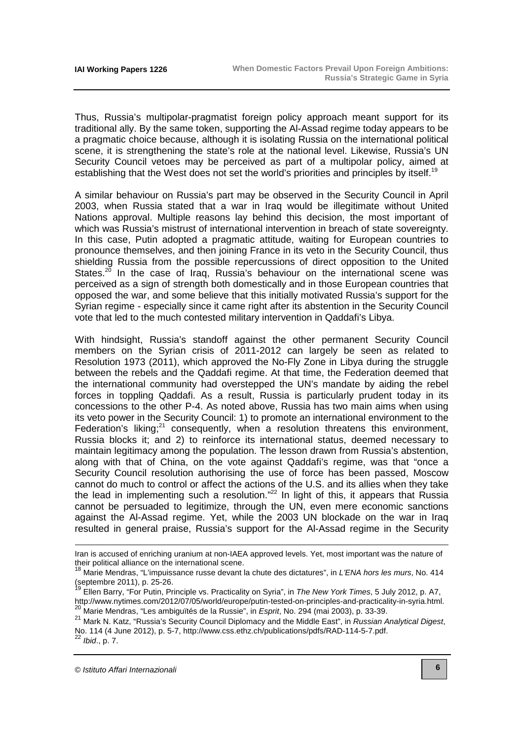Thus, Russia's multipolar-pragmatist foreign policy approach meant support for its traditional ally. By the same token, supporting the Al-Assad regime today appears to be a pragmatic choice because, although it is isolating Russia on the international political scene, it is strengthening the state's role at the national level. Likewise, Russia's UN Security Council vetoes may be perceived as part of a multipolar policy, aimed at establishing that the West does not set the world's priorities and principles by itself.<sup>19</sup>

A similar behaviour on Russia's part may be observed in the Security Council in April 2003, when Russia stated that a war in Iraq would be illegitimate without United Nations approval. Multiple reasons lay behind this decision, the most important of which was Russia's mistrust of international intervention in breach of state sovereignty. In this case, Putin adopted a pragmatic attitude, waiting for European countries to pronounce themselves, and then joining France in its veto in the Security Council, thus shielding Russia from the possible repercussions of direct opposition to the United States.<sup>20</sup> In the case of Iraq, Russia's behaviour on the international scene was perceived as a sign of strength both domestically and in those European countries that opposed the war, and some believe that this initially motivated Russia's support for the Syrian regime - especially since it came right after its abstention in the Security Council vote that led to the much contested military intervention in Qaddafi's Libya.

With hindsight, Russia's standoff against the other permanent Security Council members on the Syrian crisis of 2011-2012 can largely be seen as related to Resolution 1973 (2011), which approved the No-Fly Zone in Libya during the struggle between the rebels and the Qaddafi regime. At that time, the Federation deemed that the international community had overstepped the UN's mandate by aiding the rebel forces in toppling Qaddafi. As a result, Russia is particularly prudent today in its concessions to the other P-4. As noted above, Russia has two main aims when using its veto power in the Security Council: 1) to promote an international environment to the Federation's liking;<sup>21</sup> consequently, when a resolution threatens this environment, Russia blocks it; and 2) to reinforce its international status, deemed necessary to maintain legitimacy among the population. The lesson drawn from Russia's abstention, along with that of China, on the vote against Qaddafi's regime, was that "once a Security Council resolution authorising the use of force has been passed, Moscow cannot do much to control or affect the actions of the U.S. and its allies when they take the lead in implementing such a resolution."<sup>22</sup> In light of this, it appears that Russia cannot be persuaded to legitimize, through the UN, even mere economic sanctions against the Al-Assad regime. Yet, while the 2003 UN blockade on the war in Iraq resulted in general praise, Russia's support for the Al-Assad regime in the Security

-

Iran is accused of enriching uranium at non-IAEA approved levels. Yet, most important was the nature of their political alliance on the international scene.

<sup>&</sup>lt;sup>18</sup> Marie Mendras, "L'impuissance russe devant la chute des dictatures", in L'ENA hors les murs, No. 414 (septembre 2011), p. 25-26.

Ellen Barry, "For Putin, Principle vs. Practicality on Syria", in The New York Times, 5 July 2012, p. A7, [http://www.nytimes.com/2012/07/05/world/europe/putin-tested-on-principles-and-practicality-in-syria.html.](http://www.nytimes.com/2012/07/05/world/europe/putin-tested-on-principles-and-practicality-in-syria.html)  <sup>20</sup> Marie Mendras, "Les ambiguïtés de la Russie", in *Esprit*, No. 294 (mai 2003), p. 33-39.

<sup>21</sup> Mark N. Katz, "Russia's Security Council Diplomacy and the Middle East", in Russian Analytical Digest, No. 114 (4 June 2012), p. 5-7, [http://www.css.ethz.ch/publications/pdfs/RAD-114-5-7.pdf.](http://www.css.ethz.ch/publications/pdfs/RAD-114-5-7.pdf) 

 $22$  Ibid., p. 7.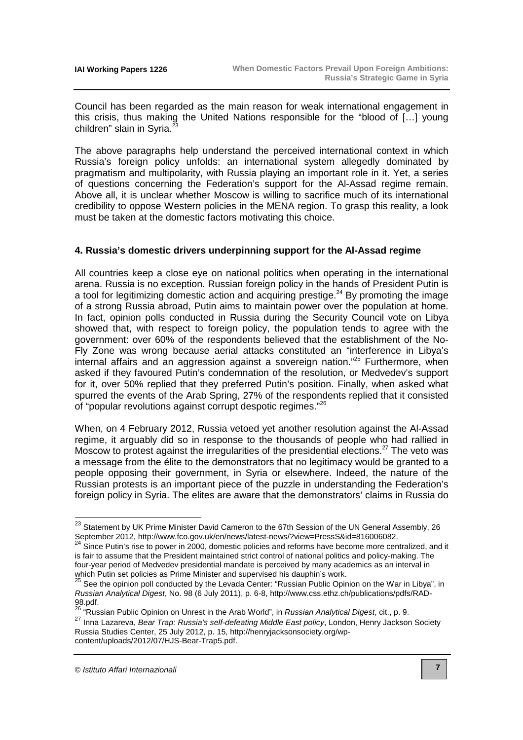Council has been regarded as the main reason for weak international engagement in this crisis, thus making the United Nations responsible for the "blood of […] young children" slain in Syria. $<sup>2</sup>$ </sup>

The above paragraphs help understand the perceived international context in which Russia's foreign policy unfolds: an international system allegedly dominated by pragmatism and multipolarity, with Russia playing an important role in it. Yet, a series of questions concerning the Federation's support for the Al-Assad regime remain. Above all, it is unclear whether Moscow is willing to sacrifice much of its international credibility to oppose Western policies in the MENA region. To grasp this reality, a look must be taken at the domestic factors motivating this choice.

#### **4. Russia's domestic drivers underpinning support for the Al-Assad regime**

All countries keep a close eye on national politics when operating in the international arena. Russia is no exception. Russian foreign policy in the hands of President Putin is a tool for legitimizing domestic action and acquiring prestige.<sup>24</sup> By promoting the image of a strong Russia abroad, Putin aims to maintain power over the population at home. In fact, opinion polls conducted in Russia during the Security Council vote on Libya showed that, with respect to foreign policy, the population tends to agree with the government: over 60% of the respondents believed that the establishment of the No-Fly Zone was wrong because aerial attacks constituted an "interference in Libya's internal affairs and an aggression against a sovereign nation."<sup>25</sup> Furthermore, when asked if they favoured Putin's condemnation of the resolution, or Medvedev's support for it, over 50% replied that they preferred Putin's position. Finally, when asked what spurred the events of the Arab Spring, 27% of the respondents replied that it consisted of "popular revolutions against corrupt despotic regimes."<sup>26</sup>

When, on 4 February 2012, Russia vetoed yet another resolution against the Al-Assad regime, it arguably did so in response to the thousands of people who had rallied in Moscow to protest against the irregularities of the presidential elections.<sup>27</sup> The veto was a message from the élite to the demonstrators that no legitimacy would be granted to a people opposing their government, in Syria or elsewhere. Indeed, the nature of the Russian protests is an important piece of the puzzle in understanding the Federation's foreign policy in Syria. The elites are aware that the demonstrators' claims in Russia do

 $^{23}$  Statement by UK Prime Minister David Cameron to the 67th Session of the UN General Assembly, 26 September 2012, [http://www.fco.gov.uk/en/news/latest-news/?view=PressS&id=816006082.](http://www.fco.gov.uk/en/news/latest-news/?view=PressS&id=816006082)

 $^{24}$  Since Putin's rise to power in 2000, domestic policies and reforms have become more centralized, and it is fair to assume that the President maintained strict control of national politics and policy-making. The four-year period of Medvedev presidential mandate is perceived by many academics as an interval in which Putin set policies as Prime Minister and supervised his dauphin's work.

<sup>&</sup>lt;sup>25</sup> See the opinion poll conducted by the Levada Center: "Russian Public Opinion on the War in Libya", in Russian Analytical Digest[, No. 98 \(6 July 2011\), p. 6-8, http://www.css.ethz.ch/publications/pdfs/RAD-](http://www.css.ethz.ch/publications/pdfs/RAD-98.pdf)98.pdf.

<sup>&</sup>lt;sup>26</sup> "Russian Public Opinion on Unrest in the Arab World", in *Russian Analytical Digest*, cit., p. 9.

<sup>27</sup> Inna Lazareva. Bear Trap: Russia's self-defeating Middle East policy, London, Henry Jackson Society [Russia Studies Center, 25 July 2012, p. 15, http://henryjacksonsociety.org/wp](http://henryjacksonsociety.org/wp-content/uploads/2012/07/HJS-Bear-Trap5.pdf)content/uploads/2012/07/HJS-Bear-Trap5.pdf.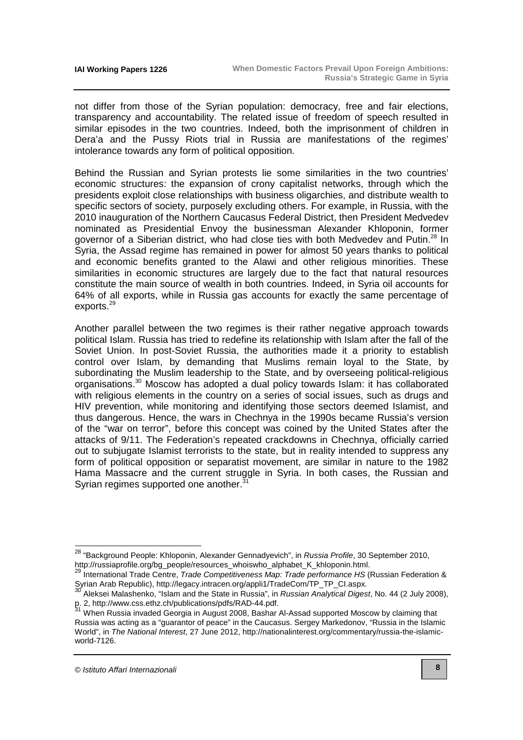not differ from those of the Syrian population: democracy, free and fair elections, transparency and accountability. The related issue of freedom of speech resulted in similar episodes in the two countries. Indeed, both the imprisonment of children in Dera'a and the Pussy Riots trial in Russia are manifestations of the regimes' intolerance towards any form of political opposition.

Behind the Russian and Syrian protests lie some similarities in the two countries' economic structures: the expansion of crony capitalist networks, through which the presidents exploit close relationships with business oligarchies, and distribute wealth to specific sectors of society, purposely excluding others. For example, in Russia, with the 2010 inauguration of the Northern Caucasus Federal District, then President Medvedev nominated as Presidential Envoy the businessman Alexander Khloponin, former governor of a Siberian district, who had close ties with both Medvedev and Putin.<sup>28</sup> In Syria, the Assad regime has remained in power for almost 50 years thanks to political and economic benefits granted to the Alawi and other religious minorities. These similarities in economic structures are largely due to the fact that natural resources constitute the main source of wealth in both countries. Indeed, in Syria oil accounts for 64% of all exports, while in Russia gas accounts for exactly the same percentage of exports.<sup>29</sup>

Another parallel between the two regimes is their rather negative approach towards political Islam. Russia has tried to redefine its relationship with Islam after the fall of the Soviet Union. In post-Soviet Russia, the authorities made it a priority to establish control over Islam, by demanding that Muslims remain loyal to the State, by subordinating the Muslim leadership to the State, and by overseeing political-religious organisations.<sup>30</sup> Moscow has adopted a dual policy towards Islam: it has collaborated with religious elements in the country on a series of social issues, such as drugs and HIV prevention, while monitoring and identifying those sectors deemed Islamist, and thus dangerous. Hence, the wars in Chechnya in the 1990s became Russia's version of the "war on terror", before this concept was coined by the United States after the attacks of 9/11. The Federation's repeated crackdowns in Chechnya, officially carried out to subjugate Islamist terrorists to the state, but in reality intended to suppress any form of political opposition or separatist movement, are similar in nature to the 1982 Hama Massacre and the current struggle in Syria. In both cases, the Russian and Syrian regimes supported one another.<sup>3</sup>

 $\overline{a}$ 

<sup>&</sup>lt;sup>28</sup> "Background People: Khloponin, Alexander Gennadyevich", in *Russia Profile*, 30 September 2010, [http://russiaprofile.org/bg\\_people/resources\\_whoiswho\\_alphabet\\_K\\_khloponin.html.](http://russiaprofile.org/bg_people/resources_whoiswho_alphabet_K_khloponin.html)

<sup>&</sup>lt;sup>29</sup> International Trade Centre, Trade Competitiveness Map: Trade performance HS (Russian Federation & Syrian Arab Republic), http://legacy.intracen.org/appli1/TradeCom/TP\_TP\_CI.aspx.

Aleksei Malashenko, "Islam and the State in Russia", in Russian Analytical Digest, No. 44 (2 July 2008), p. 2, [http://www.css.ethz.ch/publications/pdfs/RAD-44.pdf.](http://www.css.ethz.ch/publications/pdfs/RAD-44.pdf)

<sup>31</sup> When Russia invaded Georgia in August 2008, Bashar Al-Assad supported Moscow by claiming that Russia was acting as a "guarantor of peace" in the Caucasus. Sergey Markedonov, "Russia in the Islamic World", in The National Interest[, 27 June 2012, http://nationalinterest.org/commentary/russia-the-islamic](http://nationalinterest.org/commentary/russia-the-islamic-world-7126)world-7126.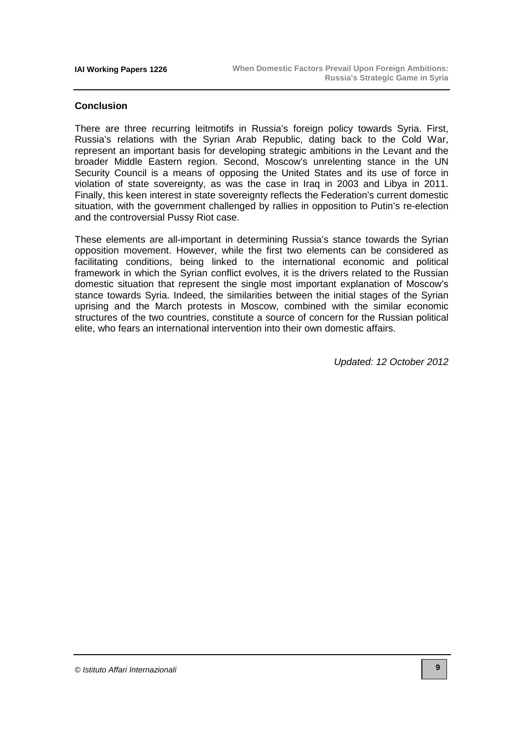#### **Conclusion**

There are three recurring leitmotifs in Russia's foreign policy towards Syria. First, Russia's relations with the Syrian Arab Republic, dating back to the Cold War, represent an important basis for developing strategic ambitions in the Levant and the broader Middle Eastern region. Second, Moscow's unrelenting stance in the UN Security Council is a means of opposing the United States and its use of force in violation of state sovereignty, as was the case in Iraq in 2003 and Libya in 2011. Finally, this keen interest in state sovereignty reflects the Federation's current domestic situation, with the government challenged by rallies in opposition to Putin's re-election and the controversial Pussy Riot case.

These elements are all-important in determining Russia's stance towards the Syrian opposition movement. However, while the first two elements can be considered as facilitating conditions, being linked to the international economic and political framework in which the Syrian conflict evolves, it is the drivers related to the Russian domestic situation that represent the single most important explanation of Moscow's stance towards Syria. Indeed, the similarities between the initial stages of the Syrian uprising and the March protests in Moscow, combined with the similar economic structures of the two countries, constitute a source of concern for the Russian political elite, who fears an international intervention into their own domestic affairs.

Updated: 12 October 2012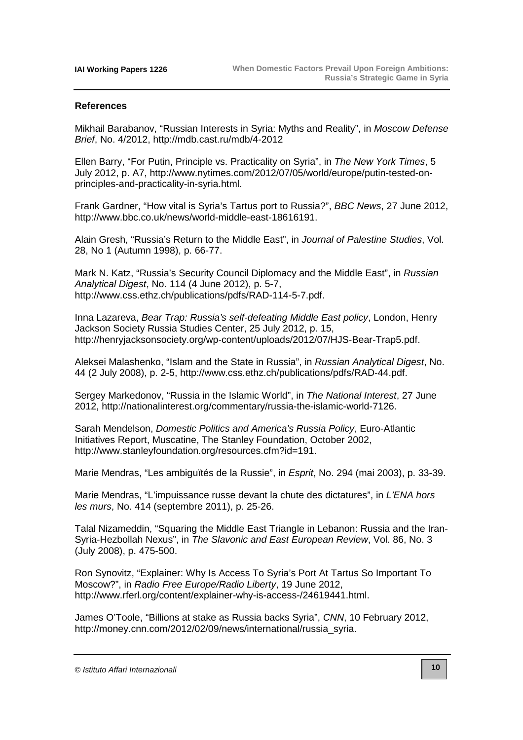#### **References**

Mikhail Barabanov, "Russian Interests in Syria: Myths and Reality", in Moscow Defense Brief, No. 4/2012,<http://mdb.cast.ru/mdb/4-2012>

Ellen Barry, "For Putin, Principle vs. Practicality on Syria", in The New York Times, 5 [July 2012, p. A7, http://www.nytimes.com/2012/07/05/world/europe/putin-tested-on](http://www.nytimes.com/2012/07/05/world/europe/putin-tested-on-principles-and-practicality-in-syria.html)principles-and-practicality-in-syria.html.

Frank Gardner, "How vital is Syria's Tartus port to Russia?", BBC News, 27 June 2012, [http://www.bbc.co.uk/news/world-middle-east-18616191.](http://www.bbc.co.uk/news/world-middle-east-18616191)

Alain Gresh, "Russia's Return to the Middle East", in Journal of Palestine Studies, Vol. 28, No 1 (Autumn 1998), p. 66-77.

Mark N. Katz, "Russia's Security Council Diplomacy and the Middle East", in Russian Analytical Digest, No. 114 (4 June 2012), p. 5-7, [http://www.css.ethz.ch/publications/pdfs/RAD-114-5-7.pdf.](http://www.css.ethz.ch/publications/pdfs/RAD-114-5-7.pdf) 

Inna Lazareva, Bear Trap: Russia's self-defeating Middle East policy, London, Henry Jackson Society Russia Studies Center, 25 July 2012, p. 15, [http://henryjacksonsociety.org/wp-content/uploads/2012/07/HJS-Bear-Trap5.pdf.](http://henryjacksonsociety.org/wp-content/uploads/2012/07/HJS-Bear-Trap5.pdf)

Aleksei Malashenko, "Islam and the State in Russia", in Russian Analytical Digest, No. 44 (2 July 2008), p. 2-5, [http://www.css.ethz.ch/publications/pdfs/RAD-44.pdf.](http://www.css.ethz.ch/publications/pdfs/RAD-44.pdf) 

Sergey Markedonov, "Russia in the Islamic World", in The National Interest, 27 June 2012, [http://nationalinterest.org/commentary/russia-the-islamic-world-7126.](http://nationalinterest.org/commentary/russia-the-islamic-world-7126)

Sarah Mendelson, Domestic Politics and America's Russia Policy, Euro-Atlantic Initiatives Report, Muscatine, The Stanley Foundation, October 2002, [http://www.stanleyfoundation.org/resources.cfm?id=191.](http://www.stanleyfoundation.org/resources.cfm?id=191)

Marie Mendras, "Les ambiguïtés de la Russie", in Esprit, No. 294 (mai 2003), p. 33-39.

Marie Mendras, "L'impuissance russe devant la chute des dictatures", in L'ENA hors les murs, No. 414 (septembre 2011), p. 25-26.

Talal Nizameddin, "Squaring the Middle East Triangle in Lebanon: Russia and the Iran-Syria-Hezbollah Nexus", in The Slavonic and East European Review, Vol. 86, No. 3 (July 2008), p. 475-500.

Ron Synovitz, "Explainer: Why Is Access To Syria's Port At Tartus So Important To Moscow?", in Radio Free Europe/Radio Liberty, 19 June 2012, [http://www.rferl.org/content/explainer-why-is-access-/24619441.html.](http://www.rferl.org/content/explainer-why-is-access-/24619441.html)

James O'Toole, "Billions at stake as Russia backs Syria", CNN, 10 February 2012, [http://money.cnn.com/2012/02/09/news/international/russia\\_syria.](http://money.cnn.com/2012/02/09/news/international/russia_syria) 

<sup>©</sup> Istituto Affari Internazionali